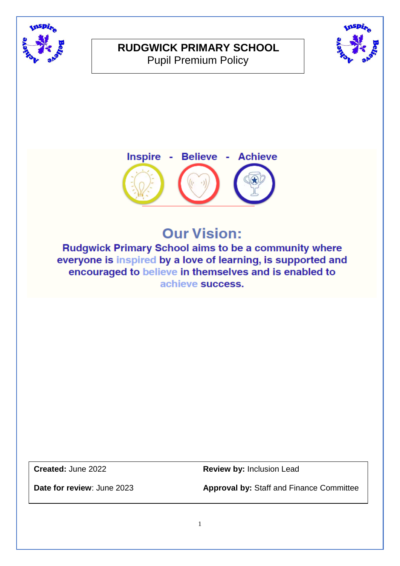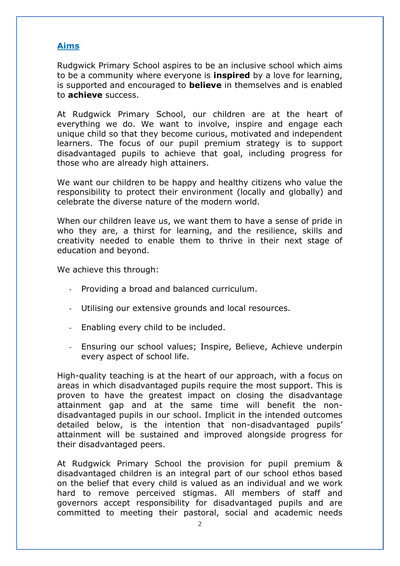## **Aims**

Rudgwick Primary School aspires to be an inclusive school which aims to be a community where everyone is **inspired** by a love for learning, is supported and encouraged to **believe** in themselves and is enabled to **achieve** success.

At Rudgwick Primary School, our children are at the heart of everything we do. We want to involve, inspire and engage each unique child so that they become curious, motivated and independent learners. The focus of our pupil premium strategy is to support disadvantaged pupils to achieve that goal, including progress for those who are already high attainers.

We want our children to be happy and healthy citizens who value the responsibility to protect their environment (locally and globally) and celebrate the diverse nature of the modern world.

When our children leave us, we want them to have a sense of pride in who they are, a thirst for learning, and the resilience, skills and creativity needed to enable them to thrive in their next stage of education and beyond.

We achieve this through:

- Providing a broad and balanced curriculum.
- Utilising our extensive grounds and local resources.
- Enabling every child to be included.
- Ensuring our school values; Inspire, Believe, Achieve underpin every aspect of school life.

High-quality teaching is at the heart of our approach, with a focus on areas in which disadvantaged pupils require the most support. This is proven to have the greatest impact on closing the disadvantage attainment gap and at the same time will benefit the nondisadvantaged pupils in our school. Implicit in the intended outcomes detailed below, is the intention that non-disadvantaged pupils' attainment will be sustained and improved alongside progress for their disadvantaged peers.

At Rudgwick Primary School the provision for pupil premium & disadvantaged children is an integral part of our school ethos based on the belief that every child is valued as an individual and we work hard to remove perceived stigmas. All members of staff and governors accept responsibility for disadvantaged pupils and are committed to meeting their pastoral, social and academic needs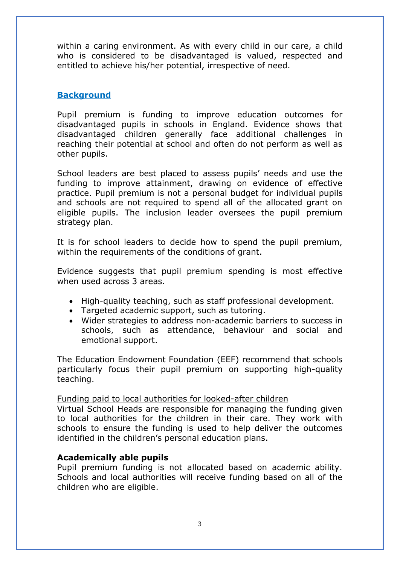within a caring environment. As with every child in our care, a child who is considered to be disadvantaged is valued, respected and entitled to achieve his/her potential, irrespective of need.

# **Background**

Pupil premium is funding to improve education outcomes for disadvantaged pupils in schools in England. Evidence shows that disadvantaged children generally face additional challenges in reaching their potential at school and often do not perform as well as other pupils.

School leaders are best placed to assess pupils' needs and use the funding to improve attainment, drawing on evidence of effective practice. Pupil premium is not a personal budget for individual pupils and schools are not required to spend all of the allocated grant on eligible pupils. The inclusion leader oversees the pupil premium strategy plan.

It is for school leaders to decide how to spend the pupil premium, within the requirements of the conditions of grant.

Evidence suggests that pupil premium spending is most effective when used across 3 areas.

- High-quality teaching, such as staff professional development.
- Targeted academic support, such as tutoring.
- Wider strategies to address non-academic barriers to success in schools, such as attendance, behaviour and social and emotional support.

The Education Endowment Foundation (EEF) recommend that schools particularly focus their pupil premium on supporting high-quality teaching.

## Funding paid to local authorities for looked-after children

Virtual School Heads are responsible for managing the funding given to local authorities for the children in their care. They work with schools to ensure the funding is used to help deliver the outcomes identified in the children's personal education plans.

## **Academically able pupils**

Pupil premium funding is not allocated based on academic ability. Schools and local authorities will receive funding based on all of the children who are eligible.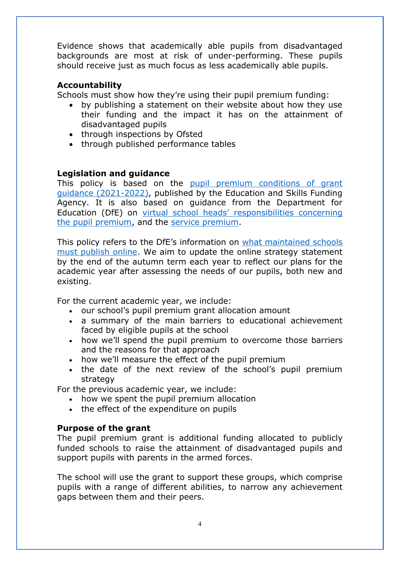Evidence shows that academically able pupils from disadvantaged backgrounds are most at risk of under-performing. These pupils should receive just as much focus as less academically able pupils.

## **Accountability**

Schools must show how they're using their pupil premium funding:

- by publishing a statement on their website about how they use their funding and the impact it has on the attainment of disadvantaged pupils
- through inspections by Ofsted
- through published performance tables

## **Legislation and guidance**

This policy is based on the [pupil premium conditions of grant](https://www.gov.uk/government/publications/pupil-premium-allocations-and-conditions-of-grant-2021-to-2022/pupil-premium-conditions-of-grant-2021-to-2022-for-local-authorities)  [guidance \(2021-2022\),](https://www.gov.uk/government/publications/pupil-premium-allocations-and-conditions-of-grant-2021-to-2022/pupil-premium-conditions-of-grant-2021-to-2022-for-local-authorities) published by the Education and Skills Funding Agency. It is also based on guidance from the Department for Education (DfE) on [virtual school heads' respon](https://www.gov.uk/guidance/pupil-premium-virtual-school-heads-responsibilities)sibilities concerning [the pupil premium,](https://www.gov.uk/guidance/pupil-premium-virtual-school-heads-responsibilities) and the [service premium.](https://www.gov.uk/guidance/service-premium-information-for-schools)

This policy refers to the DfE's information on [what maintained schools](https://www.gov.uk/guidance/what-maintained-schools-must-publish-online#pupil-premium)  [must publish online.](https://www.gov.uk/guidance/what-maintained-schools-must-publish-online#pupil-premium) We aim to update the online strategy statement by the end of the autumn term each year to reflect our plans for the academic year after assessing the needs of our pupils, both new and existing.

For the current academic year, we include:

- our school's pupil premium grant allocation amount
- a summary of the main barriers to educational achievement faced by eligible pupils at the school
- how we'll spend the pupil premium to overcome those barriers and the reasons for that approach
- how we'll measure the effect of the pupil premium
- the date of the next review of the school's pupil premium strategy

For the previous academic year, we include:

- how we spent the pupil premium allocation
- the effect of the expenditure on pupils

## **Purpose of the grant**

The pupil premium grant is additional funding allocated to publicly funded schools to raise the attainment of disadvantaged pupils and support pupils with parents in the armed forces.

The school will use the grant to support these groups, which comprise pupils with a range of different abilities, to narrow any achievement gaps between them and their peers.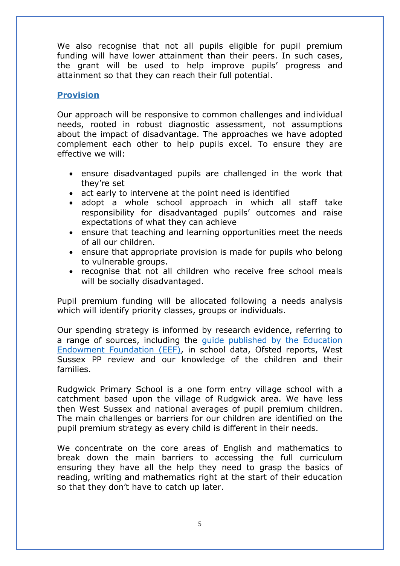We also recognise that not all pupils eligible for pupil premium funding will have lower attainment than their peers. In such cases, the grant will be used to help improve pupils' progress and attainment so that they can reach their full potential.

# **Provision**

Our approach will be responsive to common challenges and individual needs, rooted in robust diagnostic assessment, not assumptions about the impact of disadvantage. The approaches we have adopted complement each other to help pupils excel. To ensure they are effective we will:

- ensure disadvantaged pupils are challenged in the work that they're set
- act early to intervene at the point need is identified
- adopt a whole school approach in which all staff take responsibility for disadvantaged pupils' outcomes and raise expectations of what they can achieve
- ensure that teaching and learning opportunities meet the needs of all our children.
- ensure that appropriate provision is made for pupils who belong to vulnerable groups.
- recognise that not all children who receive free school meals will be socially disadvantaged.

Pupil premium funding will be allocated following a needs analysis which will identify priority classes, groups or individuals.

Our spending strategy is informed by research evidence, referring to a range of sources, including the [guide published by the Education](https://educationendowmentfoundation.org.uk/evidence-summaries/pupil-premium-guide/)  [Endowment Foundation \(EEF\),](https://educationendowmentfoundation.org.uk/evidence-summaries/pupil-premium-guide/) in school data, Ofsted reports, West Sussex PP review and our knowledge of the children and their families.

Rudgwick Primary School is a one form entry village school with a catchment based upon the village of Rudgwick area. We have less then West Sussex and national averages of pupil premium children. The main challenges or barriers for our children are identified on the pupil premium strategy as every child is different in their needs.

We concentrate on the core areas of English and mathematics to break down the main barriers to accessing the full curriculum ensuring they have all the help they need to grasp the basics of reading, writing and mathematics right at the start of their education so that they don't have to catch up later.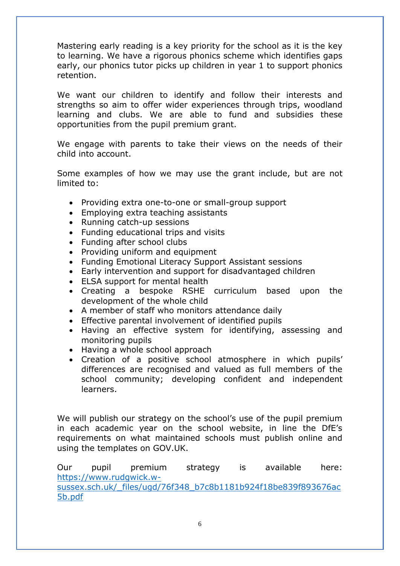Mastering early reading is a key priority for the school as it is the key to learning. We have a rigorous phonics scheme which identifies gaps early, our phonics tutor picks up children in year 1 to support phonics retention.

We want our children to identify and follow their interests and strengths so aim to offer wider experiences through trips, woodland learning and clubs. We are able to fund and subsidies these opportunities from the pupil premium grant.

We engage with parents to take their views on the needs of their child into account.

Some examples of how we may use the grant include, but are not limited to:

- Providing extra one-to-one or small-group support
- Emploving extra teaching assistants
- Running catch-up sessions
- Funding educational trips and visits
- Funding after school clubs
- Providing uniform and equipment
- Funding Emotional Literacy Support Assistant sessions
- Early intervention and support for disadvantaged children
- ELSA support for mental health
- Creating a bespoke RSHE curriculum based upon the development of the whole child
- A member of staff who monitors attendance daily
- Effective parental involvement of identified pupils
- Having an effective system for identifying, assessing and monitoring pupils
- Having a whole school approach
- Creation of a positive school atmosphere in which pupils' differences are recognised and valued as full members of the school community; developing confident and independent learners.

We will publish our strategy on the school's use of the pupil premium in each academic year on the school website, in line the DfE's requirements on what maintained schools must publish online and using the templates on GOV.UK.

Our pupil premium strategy is available here: [https://www.rudgwick.w](https://www.rudgwick.w-sussex.sch.uk/_files/ugd/76f348_b7c8b1181b924f18be839f893676ac5b.pdf)[sussex.sch.uk/\\_files/ugd/76f348\\_b7c8b1181b924f18be839f893676ac](https://www.rudgwick.w-sussex.sch.uk/_files/ugd/76f348_b7c8b1181b924f18be839f893676ac5b.pdf) [5b.pdf](https://www.rudgwick.w-sussex.sch.uk/_files/ugd/76f348_b7c8b1181b924f18be839f893676ac5b.pdf)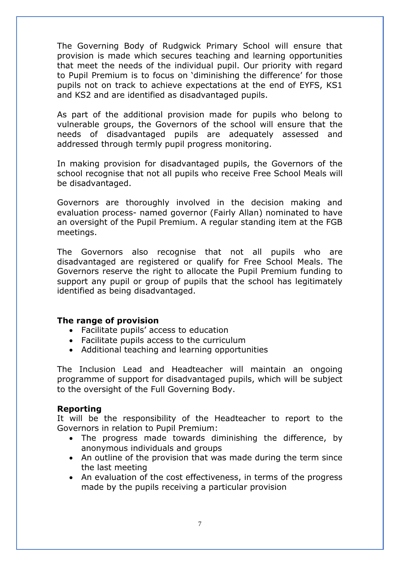The Governing Body of Rudgwick Primary School will ensure that provision is made which secures teaching and learning opportunities that meet the needs of the individual pupil. Our priority with regard to Pupil Premium is to focus on 'diminishing the difference' for those pupils not on track to achieve expectations at the end of EYFS, KS1 and KS2 and are identified as disadvantaged pupils.

As part of the additional provision made for pupils who belong to vulnerable groups, the Governors of the school will ensure that the needs of disadvantaged pupils are adequately assessed and addressed through termly pupil progress monitoring.

In making provision for disadvantaged pupils, the Governors of the school recognise that not all pupils who receive Free School Meals will be disadvantaged.

Governors are thoroughly involved in the decision making and evaluation process- named governor (Fairly Allan) nominated to have an oversight of the Pupil Premium. A regular standing item at the FGB meetings.

The Governors also recognise that not all pupils who are disadvantaged are registered or qualify for Free School Meals. The Governors reserve the right to allocate the Pupil Premium funding to support any pupil or group of pupils that the school has legitimately identified as being disadvantaged.

#### **The range of provision**

- Facilitate pupils' access to education
- Facilitate pupils access to the curriculum
- Additional teaching and learning opportunities

The Inclusion Lead and Headteacher will maintain an ongoing programme of support for disadvantaged pupils, which will be subject to the oversight of the Full Governing Body.

## **Reporting**

It will be the responsibility of the Headteacher to report to the Governors in relation to Pupil Premium:

- The progress made towards diminishing the difference, by anonymous individuals and groups
- An outline of the provision that was made during the term since the last meeting
- An evaluation of the cost effectiveness, in terms of the progress made by the pupils receiving a particular provision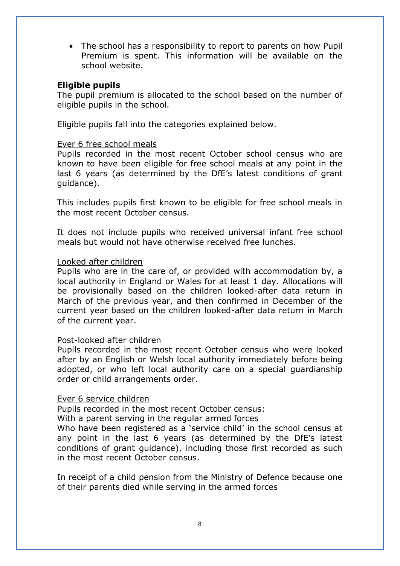• The school has a responsibility to report to parents on how Pupil Premium is spent. This information will be available on the school website.

## **Eligible pupils**

The pupil premium is allocated to the school based on the number of eligible pupils in the school.

Eligible pupils fall into the categories explained below.

## Ever 6 free school meals

Pupils recorded in the most recent October school census who are known to have been eligible for free school meals at any point in the last 6 years (as determined by the DfE's latest conditions of grant guidance).

This includes pupils first known to be eligible for free school meals in the most recent October census.

It does not include pupils who received universal infant free school meals but would not have otherwise received free lunches.

#### Looked after children

Pupils who are in the care of, or provided with accommodation by, a local authority in England or Wales for at least 1 day. Allocations will be provisionally based on the children looked-after data return in March of the previous year, and then confirmed in December of the current year based on the children looked-after data return in March of the current year.

#### Post-looked after children

Pupils recorded in the most recent October census who were looked after by an English or Welsh local authority immediately before being adopted, or who left local authority care on a special guardianship order or child arrangements order.

#### Ever 6 service children

Pupils recorded in the most recent October census:

With a parent serving in the regular armed forces

Who have been registered as a 'service child' in the school census at any point in the last 6 years (as determined by the DfE's latest conditions of grant guidance), including those first recorded as such in the most recent October census.

In receipt of a child pension from the Ministry of Defence because one of their parents died while serving in the armed forces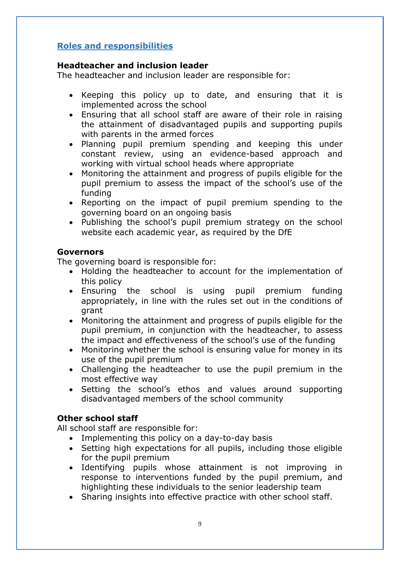# **Roles and responsibilities**

## **Headteacher and inclusion leader**

The headteacher and inclusion leader are responsible for:

- Keeping this policy up to date, and ensuring that it is implemented across the school
- Ensuring that all school staff are aware of their role in raising the attainment of disadvantaged pupils and supporting pupils with parents in the armed forces
- Planning pupil premium spending and keeping this under constant review, using an evidence-based approach and working with virtual school heads where appropriate
- Monitoring the attainment and progress of pupils eligible for the pupil premium to assess the impact of the school's use of the funding
- Reporting on the impact of pupil premium spending to the governing board on an ongoing basis
- Publishing the school's pupil premium strategy on the school website each academic year, as required by the DfE

## **Governors**

The governing board is responsible for:

- Holding the headteacher to account for the implementation of this policy
- Ensuring the school is using pupil premium funding appropriately, in line with the rules set out in the conditions of grant
- Monitoring the attainment and progress of pupils eligible for the pupil premium, in conjunction with the headteacher, to assess the impact and effectiveness of the school's use of the funding
- Monitoring whether the school is ensuring value for money in its use of the pupil premium
- Challenging the headteacher to use the pupil premium in the most effective way
- Setting the school's ethos and values around supporting disadvantaged members of the school community

## **Other school staff**

All school staff are responsible for:

- Implementing this policy on a day-to-day basis
- Setting high expectations for all pupils, including those eligible for the pupil premium
- Identifying pupils whose attainment is not improving in response to interventions funded by the pupil premium, and highlighting these individuals to the senior leadership team
- Sharing insights into effective practice with other school staff.